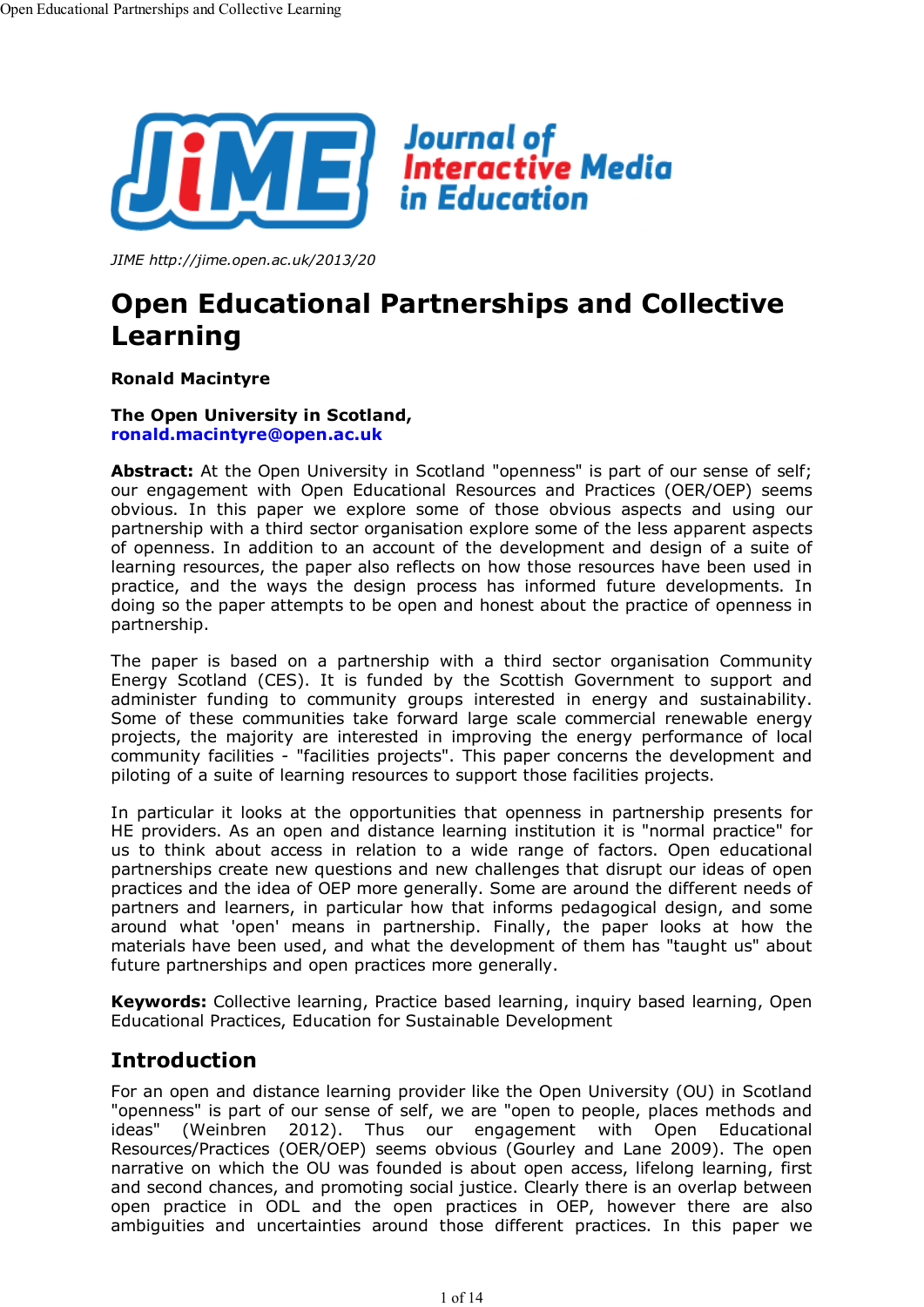

*JIME http://jime.open.ac.uk/2013/20*

# **Open Educational Partnerships and Collective Learning**

**Ronald Macintyre**

### **The Open University in Scotland, ronald.macintyre@open.ac.uk**

Abstract: At the Open University in Scotland "openness" is part of our sense of self; our engagement with Open Educational Resources and Practices (OER/OEP) seems obvious. In this paper we explore some of those obvious aspects and using our partnership with a third sector organisation explore some of the less apparent aspects of openness. In addition to an account of the development and design of a suite of learning resources, the paper also reflects on how those resources have been used in practice, and the ways the design process has informed future developments. In doing so the paper attempts to be open and honest about the practice of openness in partnership.

The paper is based on a partnership with a third sector organisation Community Energy Scotland (CES). It is funded by the Scottish Government to support and administer funding to community groups interested in energy and sustainability. Some of these communities take forward large scale commercial renewable energy projects, the majority are interested in improving the energy performance of local community facilities - "facilities projects". This paper concerns the development and piloting of a suite of learning resources to support those facilities projects.

In particular it looks at the opportunities that openness in partnership presents for HE providers. As an open and distance learning institution it is "normal practice" for us to think about access in relation to a wide range of factors. Open educational partnerships create new questions and new challenges that disrupt our ideas of open practices and the idea of OEP more generally. Some are around the different needs of partners and learners, in particular how that informs pedagogical design, and some around what 'open' means in partnership. Finally, the paper looks at how the materials have been used, and what the development of them has "taught us" about future partnerships and open practices more generally.

**Keywords:** Collective learning, Practice based learning, inquiry based learning, Open Educational Practices, Education for Sustainable Development

## **Introduction**

For an open and distance learning provider like the Open University (OU) in Scotland "openness" is part of our sense of self, we are "open to people, places methods and<br>ideas" (Weinbren 2012). Thus our engagement with Open Educational (Weinbren 2012). Thus our engagement with Open Educational Resources/Practices (OER/OEP) seems obvious (Gourley and Lane 2009). The open narrative on which the OU was founded is about open access, lifelong learning, first and second chances, and promoting social justice. Clearly there is an overlap between open practice in ODL and the open practices in OEP, however there are also ambiguities and uncertainties around those different practices. In this paper we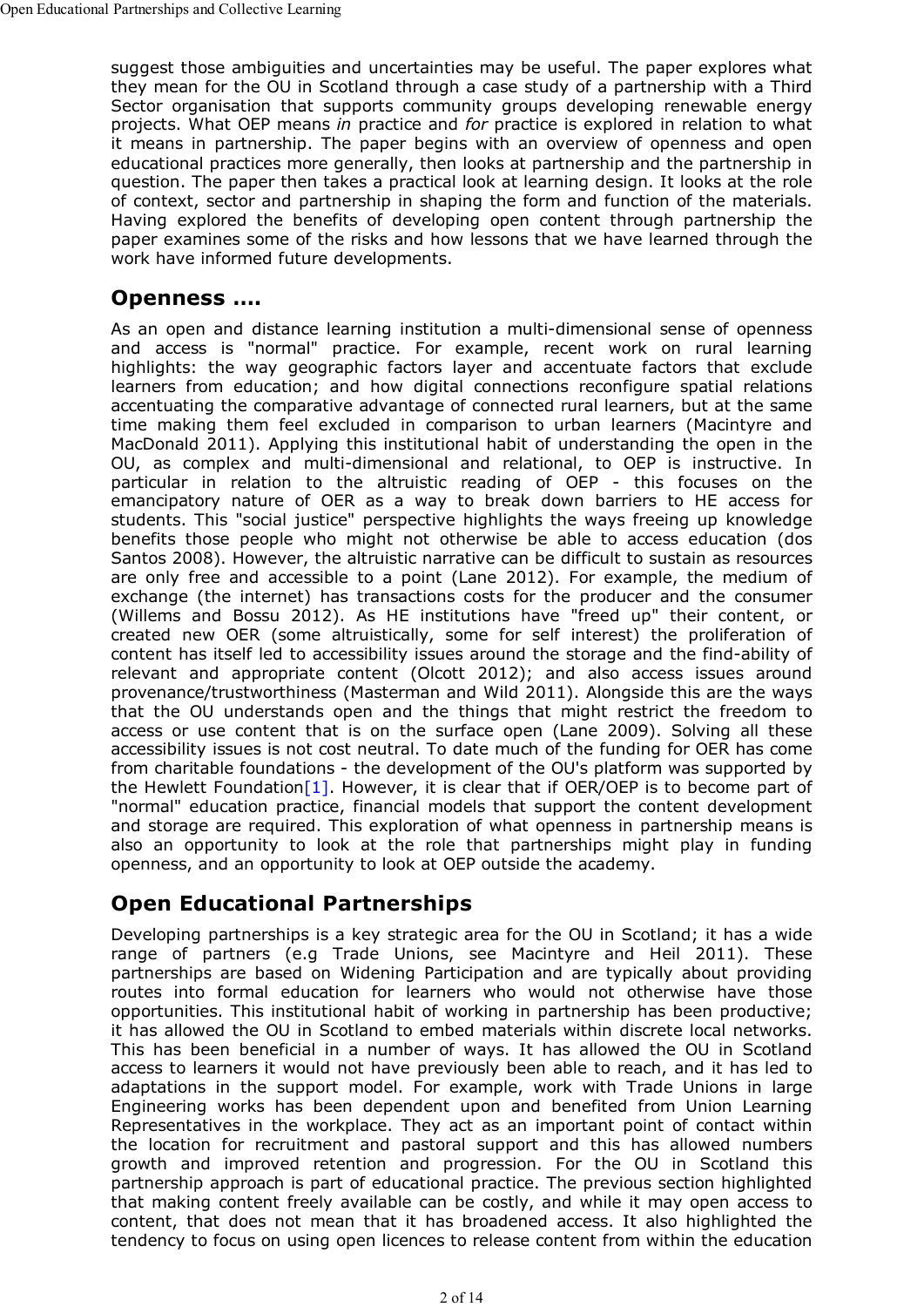suggest those ambiguities and uncertainties may be useful. The paper explores what they mean for the OU in Scotland through a case study of a partnership with a Third Sector organisation that supports community groups developing renewable energy projects. What OEP means *in* practice and *for* practice is explored in relation to what it means in partnership. The paper begins with an overview of openness and open educational practices more generally, then looks at partnership and the partnership in question. The paper then takes a practical look at learning design. It looks at the role of context, sector and partnership in shaping the form and function of the materials. Having explored the benefits of developing open content through partnership the paper examines some of the risks and how lessons that we have learned through the work have informed future developments.

# **Openness ….**

As an open and distance learning institution a multi-dimensional sense of openness and access is "normal" practice. For example, recent work on rural learning highlights: the way geographic factors layer and accentuate factors that exclude learners from education; and how digital connections reconfigure spatial relations accentuating the comparative advantage of connected rural learners, but at the same time making them feel excluded in comparison to urban learners (Macintyre and MacDonald 2011). Applying this institutional habit of understanding the open in the OU, as complex and multi-dimensional and relational, to OEP is instructive. In particular in relation to the altruistic reading of OEP - this focuses on the emancipatory nature of OER as a way to break down barriers to HE access for students. This "social justice" perspective highlights the ways freeing up knowledge benefits those people who might not otherwise be able to access education (dos Santos 2008). However, the altruistic narrative can be difficult to sustain as resources are only free and accessible to a point (Lane 2012). For example, the medium of exchange (the internet) has transactions costs for the producer and the consumer (Willems and Bossu 2012). As HE institutions have "freed up" their content, or created new OER (some altruistically, some for self interest) the proliferation of content has itself led to accessibility issues around the storage and the find-ability of relevant and appropriate content (Olcott 2012); and also access issues around provenance/trustworthiness (Masterman and Wild 2011). Alongside this are the ways that the OU understands open and the things that might restrict the freedom to access or use content that is on the surface open (Lane 2009). Solving all these accessibility issues is not cost neutral. To date much of the funding for OER has come from charitable foundations - the development of the OU's platform was supported by the Hewlett Foundation [1]. However, it is clear that if OER/OEP is to become part of "normal" education practice, financial models that support the content development and storage are required. This exploration of what openness in partnership means is also an opportunity to look at the role that partnerships might play in funding openness, and an opportunity to look at OEP outside the academy.

# **Open Educational Partnerships**

Developing partnerships is a key strategic area for the OU in Scotland; it has a wide range of partners (e.g Trade Unions, see Macintyre and Heil 2011). These partnerships are based on Widening Participation and are typically about providing routes into formal education for learners who would not otherwise have those opportunities. This institutional habit of working in partnership has been productive; it has allowed the OU in Scotland to embed materials within discrete local networks. This has been beneficial in a number of ways. It has allowed the OU in Scotland access to learners it would not have previously been able to reach, and it has led to adaptations in the support model. For example, work with Trade Unions in large Engineering works has been dependent upon and benefited from Union Learning Representatives in the workplace. They act as an important point of contact within the location for recruitment and pastoral support and this has allowed numbers growth and improved retention and progression. For the OU in Scotland this partnership approach is part of educational practice. The previous section highlighted that making content freely available can be costly, and while it may open access to content, that does not mean that it has broadened access. It also highlighted the tendency to focus on using open licences to release content from within the education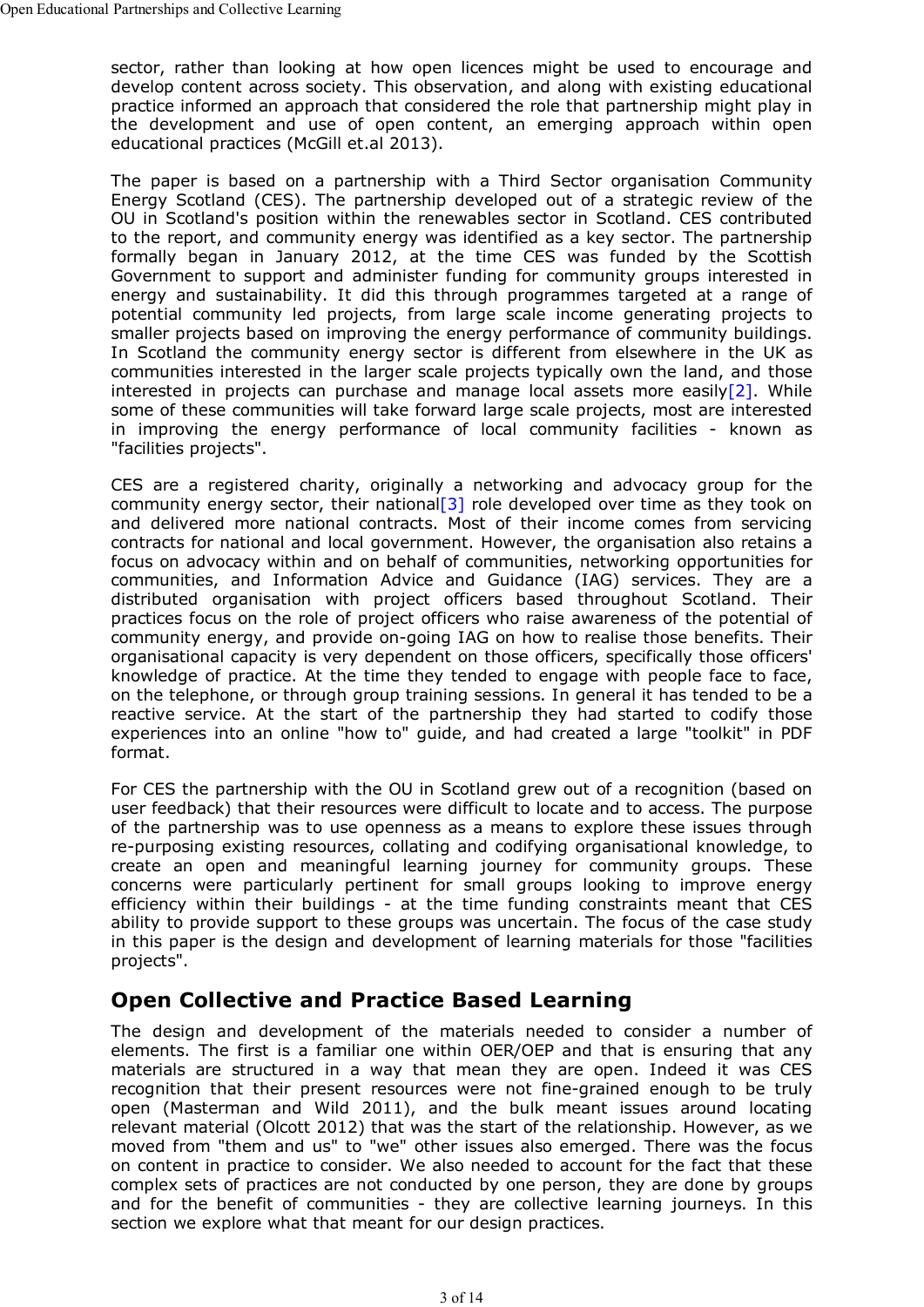sector, rather than looking at how open licences might be used to encourage and develop content across society. This observation, and along with existing educational practice informed an approach that considered the role that partnership might play in the development and use of open content, an emerging approach within open educational practices (McGill et.al 2013).

The paper is based on a partnership with a Third Sector organisation Community Energy Scotland (CES). The partnership developed out of a strategic review of the OU in Scotland's position within the renewables sector in Scotland. CES contributed to the report, and community energy was identified as a key sector. The partnership formally began in January 2012, at the time CES was funded by the Scottish Government to support and administer funding for community groups interested in energy and sustainability. It did this through programmes targeted at a range of potential community led projects, from large scale income generating projects to smaller projects based on improving the energy performance of community buildings. In Scotland the community energy sector is different from elsewhere in the UK as communities interested in the larger scale projects typically own the land, and those interested in projects can purchase and manage local assets more easily<sup>[2]</sup>. While some of these communities will take forward large scale projects, most are interested in improving the energy performance of local community facilities - known as "facilities projects".

CES are a registered charity, originally a networking and advocacy group for the community energy sector, their national[3] role developed over time as they took on and delivered more national contracts. Most of their income comes from servicing contracts for national and local government. However, the organisation also retains a focus on advocacy within and on behalf of communities, networking opportunities for communities, and Information Advice and Guidance (IAG) services. They are a distributed organisation with project officers based throughout Scotland. Their practices focus on the role of project officers who raise awareness of the potential of community energy, and provide on-going IAG on how to realise those benefits. Their organisational capacity is very dependent on those officers, specifically those officers' knowledge of practice. At the time they tended to engage with people face to face, on the telephone, or through group training sessions. In general it has tended to be a reactive service. At the start of the partnership they had started to codify those experiences into an online "how to" guide, and had created a large "toolkit" in PDF format.

For CES the partnership with the OU in Scotland grew out of a recognition (based on user feedback) that their resources were difficult to locate and to access. The purpose of the partnership was to use openness as a means to explore these issues through re-purposing existing resources, collating and codifying organisational knowledge, to create an open and meaningful learning journey for community groups. These concerns were particularly pertinent for small groups looking to improve energy efficiency within their buildings - at the time funding constraints meant that CES ability to provide support to these groups was uncertain. The focus of the case study in this paper is the design and development of learning materials for those "facilities projects".

# **Open Collective and Practice Based Learning**

The design and development of the materials needed to consider a number of elements. The first is a familiar one within OER/OEP and that is ensuring that any materials are structured in a way that mean they are open. Indeed it was CES recognition that their present resources were not fine-grained enough to be truly open (Masterman and Wild 2011), and the bulk meant issues around locating relevant material (Olcott 2012) that was the start of the relationship. However, as we moved from "them and us" to "we" other issues also emerged. There was the focus on content in practice to consider. We also needed to account for the fact that these complex sets of practices are not conducted by one person, they are done by groups and for the benefit of communities - they are collective learning journeys. In this section we explore what that meant for our design practices.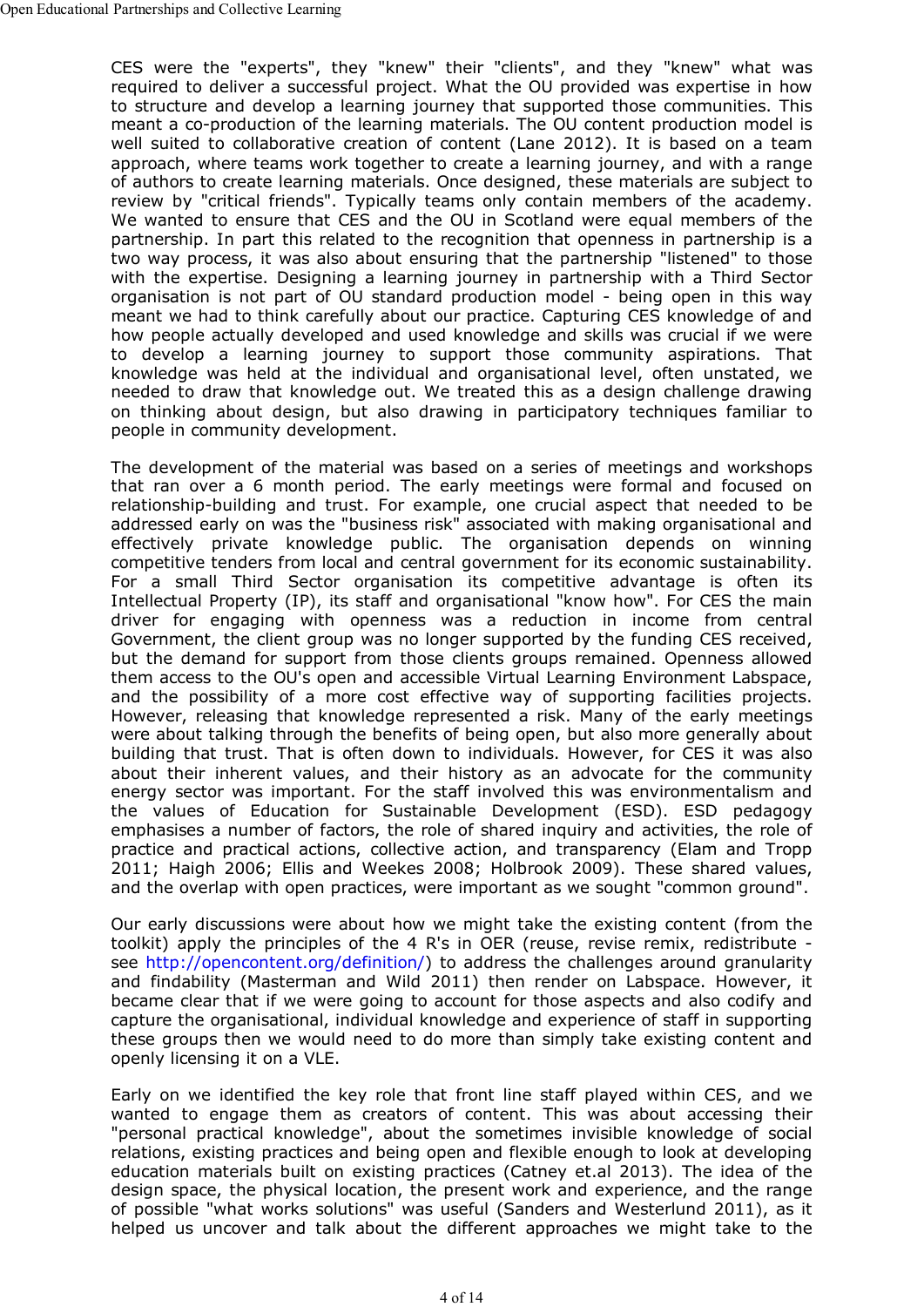CES were the "experts", they "knew" their "clients", and they "knew" what was required to deliver a successful project. What the OU provided was expertise in how to structure and develop a learning journey that supported those communities. This meant a co-production of the learning materials. The OU content production model is well suited to collaborative creation of content (Lane 2012). It is based on a team approach, where teams work together to create a learning journey, and with a range of authors to create learning materials. Once designed, these materials are subject to review by "critical friends". Typically teams only contain members of the academy. We wanted to ensure that CES and the OU in Scotland were equal members of the partnership. In part this related to the recognition that openness in partnership is a two way process, it was also about ensuring that the partnership "listened" to those with the expertise. Designing a learning journey in partnership with a Third Sector organisation is not part of OU standard production model - being open in this way meant we had to think carefully about our practice. Capturing CES knowledge of and how people actually developed and used knowledge and skills was crucial if we were to develop a learning journey to support those community aspirations. That knowledge was held at the individual and organisational level, often unstated, we needed to draw that knowledge out. We treated this as a design challenge drawing on thinking about design, but also drawing in participatory techniques familiar to people in community development.

The development of the material was based on a series of meetings and workshops that ran over a 6 month period. The early meetings were formal and focused on relationship-building and trust. For example, one crucial aspect that needed to be addressed early on was the "business risk" associated with making organisational and effectively private knowledge public. The organisation depends on winning competitive tenders from local and central government for its economic sustainability. For a small Third Sector organisation its competitive advantage is often its Intellectual Property (IP), its staff and organisational "know how". For CES the main driver for engaging with openness was a reduction in income from central Government, the client group was no longer supported by the funding CES received, but the demand for support from those clients groups remained. Openness allowed them access to the OU's open and accessible Virtual Learning Environment Labspace, and the possibility of a more cost effective way of supporting facilities projects. However, releasing that knowledge represented a risk. Many of the early meetings were about talking through the benefits of being open, but also more generally about building that trust. That is often down to individuals. However, for CES it was also about their inherent values, and their history as an advocate for the community energy sector was important. For the staff involved this was environmentalism and the values of Education for Sustainable Development (ESD). ESD pedagogy emphasises a number of factors, the role of shared inquiry and activities, the role of practice and practical actions, collective action, and transparency (Elam and Tropp 2011; Haigh 2006; Ellis and Weekes 2008; Holbrook 2009). These shared values, and the overlap with open practices, were important as we sought "common ground".

Our early discussions were about how we might take the existing content (from the toolkit) apply the principles of the 4 R's in OER (reuse, revise remix, redistribute see http://opencontent.org/definition/) to address the challenges around granularity and findability (Masterman and Wild 2011) then render on Labspace. However, it became clear that if we were going to account for those aspects and also codify and capture the organisational, individual knowledge and experience of staff in supporting these groups then we would need to do more than simply take existing content and openly licensing it on a VLE.

Early on we identified the key role that front line staff played within CES, and we wanted to engage them as creators of content. This was about accessing their "personal practical knowledge", about the sometimes invisible knowledge of social relations, existing practices and being open and flexible enough to look at developing education materials built on existing practices (Catney et.al 2013). The idea of the design space, the physical location, the present work and experience, and the range of possible "what works solutions" was useful (Sanders and Westerlund 2011), as it helped us uncover and talk about the different approaches we might take to the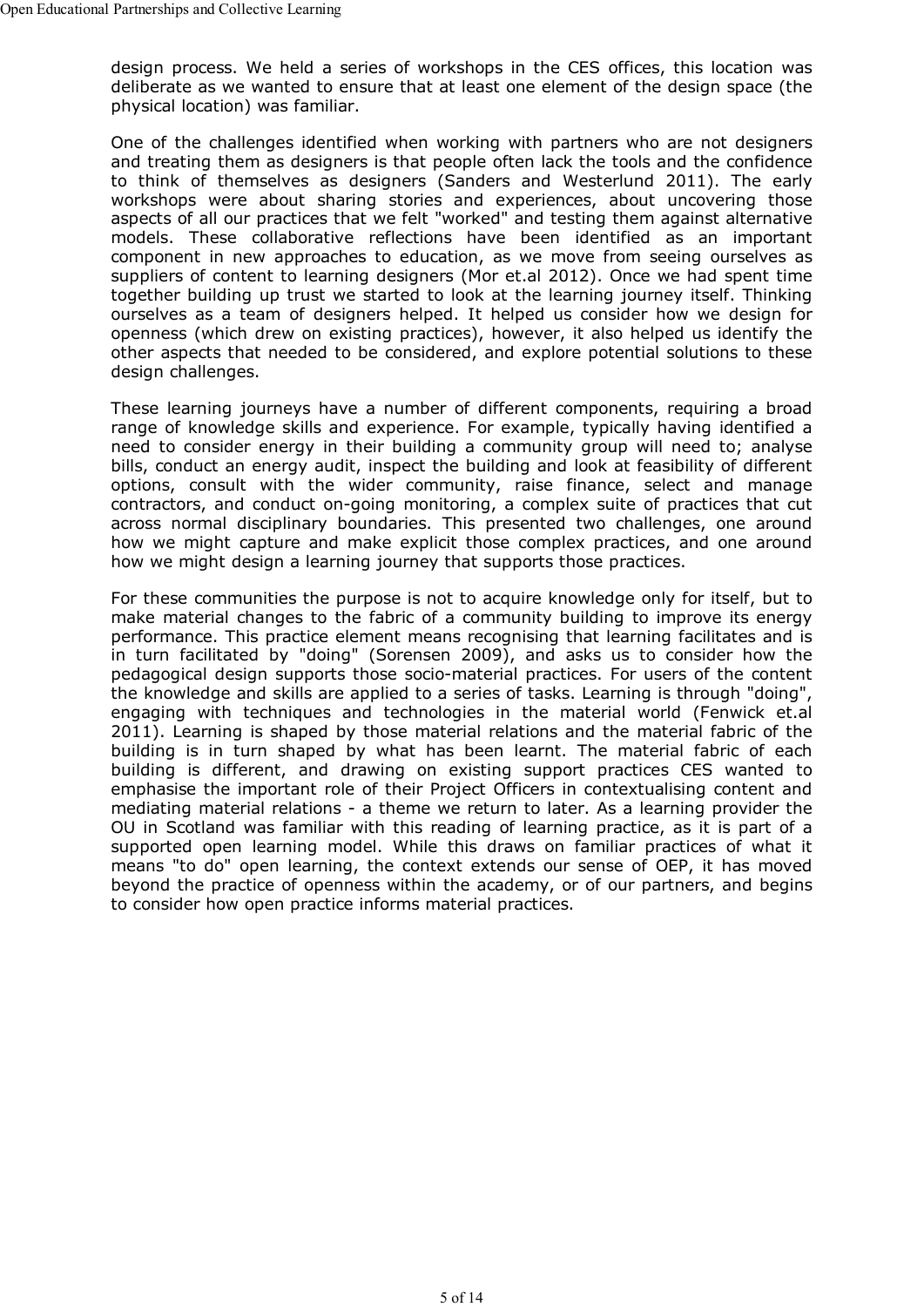design process. We held a series of workshops in the CES offices, this location was deliberate as we wanted to ensure that at least one element of the design space (the physical location) was familiar.

One of the challenges identified when working with partners who are not designers and treating them as designers is that people often lack the tools and the confidence to think of themselves as designers (Sanders and Westerlund 2011). The early workshops were about sharing stories and experiences, about uncovering those aspects of all our practices that we felt "worked" and testing them against alternative models. These collaborative reflections have been identified as an important component in new approaches to education, as we move from seeing ourselves as suppliers of content to learning designers (Mor et.al 2012). Once we had spent time together building up trust we started to look at the learning journey itself. Thinking ourselves as a team of designers helped. It helped us consider how we design for openness (which drew on existing practices), however, it also helped us identify the other aspects that needed to be considered, and explore potential solutions to these design challenges.

These learning journeys have a number of different components, requiring a broad range of knowledge skills and experience. For example, typically having identified a need to consider energy in their building a community group will need to; analyse bills, conduct an energy audit, inspect the building and look at feasibility of different options, consult with the wider community, raise finance, select and manage contractors, and conduct on-going monitoring, a complex suite of practices that cut across normal disciplinary boundaries. This presented two challenges, one around how we might capture and make explicit those complex practices, and one around how we might design a learning journey that supports those practices.

For these communities the purpose is not to acquire knowledge only for itself, but to make material changes to the fabric of a community building to improve its energy performance. This practice element means recognising that learning facilitates and is in turn facilitated by "doing" (Sorensen 2009), and asks us to consider how the pedagogical design supports those socio-material practices. For users of the content the knowledge and skills are applied to a series of tasks. Learning is through "doing", engaging with techniques and technologies in the material world (Fenwick et.al 2011). Learning is shaped by those material relations and the material fabric of the building is in turn shaped by what has been learnt. The material fabric of each building is different, and drawing on existing support practices CES wanted to emphasise the important role of their Project Officers in contextualising content and mediating material relations - a theme we return to later. As a learning provider the OU in Scotland was familiar with this reading of learning practice, as it is part of a supported open learning model. While this draws on familiar practices of what it means "to do" open learning, the context extends our sense of OEP, it has moved beyond the practice of openness within the academy, or of our partners, and begins to consider how open practice informs material practices.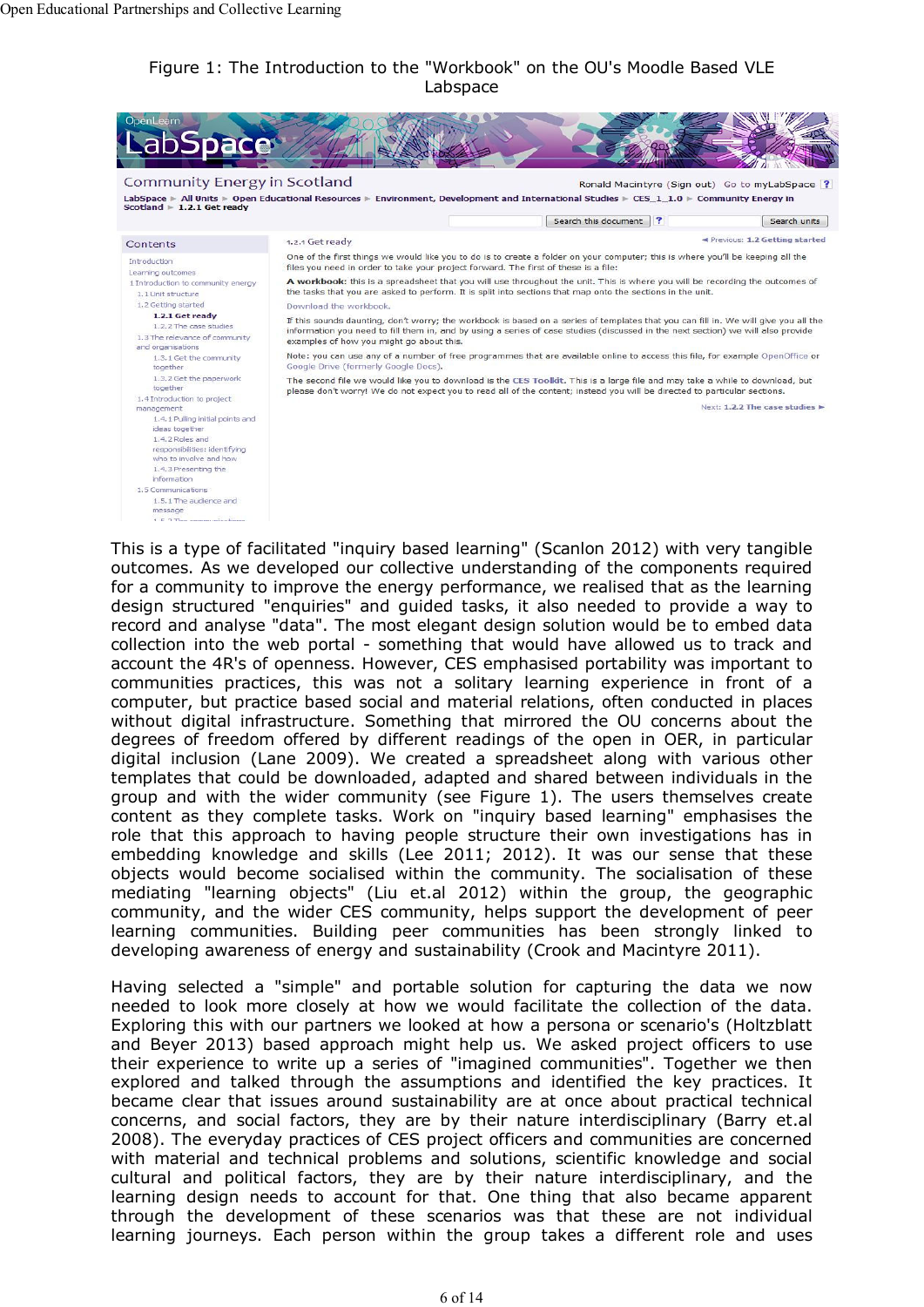### Figure 1: The Introduction to the "Workbook" on the OU's Moodle Based VLE Labspace



This is a type of facilitated "inquiry based learning" (Scanlon 2012) with very tangible outcomes. As we developed our collective understanding of the components required for a community to improve the energy performance, we realised that as the learning design structured "enquiries" and guided tasks, it also needed to provide a way to record and analyse "data". The most elegant design solution would be to embed data collection into the web portal - something that would have allowed us to track and account the 4R's of openness. However, CES emphasised portability was important to communities practices, this was not a solitary learning experience in front of a computer, but practice based social and material relations, often conducted in places without digital infrastructure. Something that mirrored the OU concerns about the degrees of freedom offered by different readings of the open in OER, in particular digital inclusion (Lane 2009). We created a spreadsheet along with various other templates that could be downloaded, adapted and shared between individuals in the group and with the wider community (see Figure 1). The users themselves create content as they complete tasks. Work on "inquiry based learning" emphasises the role that this approach to having people structure their own investigations has in embedding knowledge and skills (Lee 2011; 2012). It was our sense that these objects would become socialised within the community. The socialisation of these mediating "learning objects" (Liu et.al 2012) within the group, the geographic community, and the wider CES community, helps support the development of peer learning communities. Building peer communities has been strongly linked to developing awareness of energy and sustainability (Crook and Macintyre 2011).

Having selected a "simple" and portable solution for capturing the data we now needed to look more closely at how we would facilitate the collection of the data. Exploring this with our partners we looked at how a persona or scenario's (Holtzblatt and Beyer 2013) based approach might help us. We asked project officers to use their experience to write up a series of "imagined communities". Together we then explored and talked through the assumptions and identified the key practices. It became clear that issues around sustainability are at once about practical technical concerns, and social factors, they are by their nature interdisciplinary (Barry et.al 2008). The everyday practices of CES project officers and communities are concerned with material and technical problems and solutions, scientific knowledge and social cultural and political factors, they are by their nature interdisciplinary, and the learning design needs to account for that. One thing that also became apparent through the development of these scenarios was that these are not individual learning journeys. Each person within the group takes a different role and uses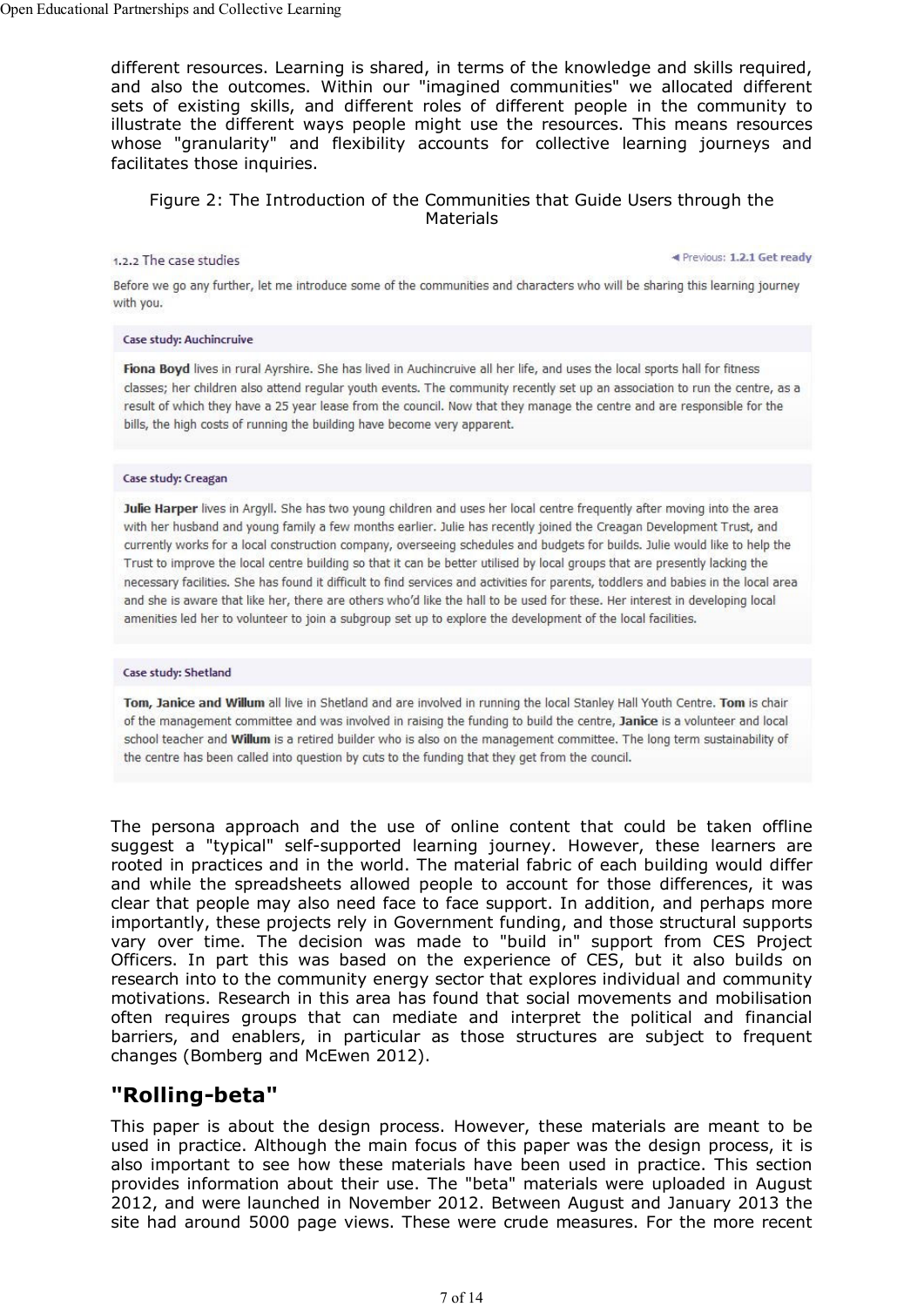different resources. Learning is shared, in terms of the knowledge and skills required, and also the outcomes. Within our "imagined communities" we allocated different sets of existing skills, and different roles of different people in the community to illustrate the different ways people might use the resources. This means resources whose "granularity" and flexibility accounts for collective learning journeys and facilitates those inquiries.

### Figure 2: The Introduction of the Communities that Guide Users through the **Materials**

#### 1.2.2 The case studies

Previous: 1.2.1 Get ready

Before we go any further, let me introduce some of the communities and characters who will be sharing this learning journey with you.

#### Case study: Auchincruive

Fiona Boyd lives in rural Ayrshire. She has lived in Auchincruive all her life, and uses the local sports hall for fitness classes; her children also attend regular youth events. The community recently set up an association to run the centre, as a result of which they have a 25 year lease from the council. Now that they manage the centre and are responsible for the bills, the high costs of running the building have become very apparent.

#### Case study: Creagan

Julie Harper lives in Argyll. She has two young children and uses her local centre frequently after moving into the area with her husband and young family a few months earlier. Julie has recently joined the Creagan Development Trust, and currently works for a local construction company, overseeing schedules and budgets for builds. Julie would like to help the Trust to improve the local centre building so that it can be better utilised by local groups that are presently lacking the necessary facilities. She has found it difficult to find services and activities for parents, toddlers and babies in the local area and she is aware that like her, there are others who'd like the hall to be used for these. Her interest in developing local amenities led her to volunteer to join a subgroup set up to explore the development of the local facilities.

#### Case study: Shetland

Tom, Janice and Willum all live in Shetland and are involved in running the local Stanley Hall Youth Centre. Tom is chair of the management committee and was involved in raising the funding to build the centre, Janice is a volunteer and local school teacher and Willum is a retired builder who is also on the management committee. The long term sustainability of the centre has been called into question by cuts to the funding that they get from the council.

The persona approach and the use of online content that could be taken offline suggest a "typical" self-supported learning journey. However, these learners are rooted in practices and in the world. The material fabric of each building would differ and while the spreadsheets allowed people to account for those differences, it was clear that people may also need face to face support. In addition, and perhaps more importantly, these projects rely in Government funding, and those structural supports vary over time. The decision was made to "build in" support from CES Project Officers. In part this was based on the experience of CES, but it also builds on research into to the community energy sector that explores individual and community motivations. Research in this area has found that social movements and mobilisation often requires groups that can mediate and interpret the political and financial barriers, and enablers, in particular as those structures are subject to frequent changes (Bomberg and McEwen 2012).

### **"Rolling-beta"**

This paper is about the design process. However, these materials are meant to be used in practice. Although the main focus of this paper was the design process, it is also important to see how these materials have been used in practice. This section provides information about their use. The "beta" materials were uploaded in August 2012, and were launched in November 2012. Between August and January 2013 the site had around 5000 page views. These were crude measures. For the more recent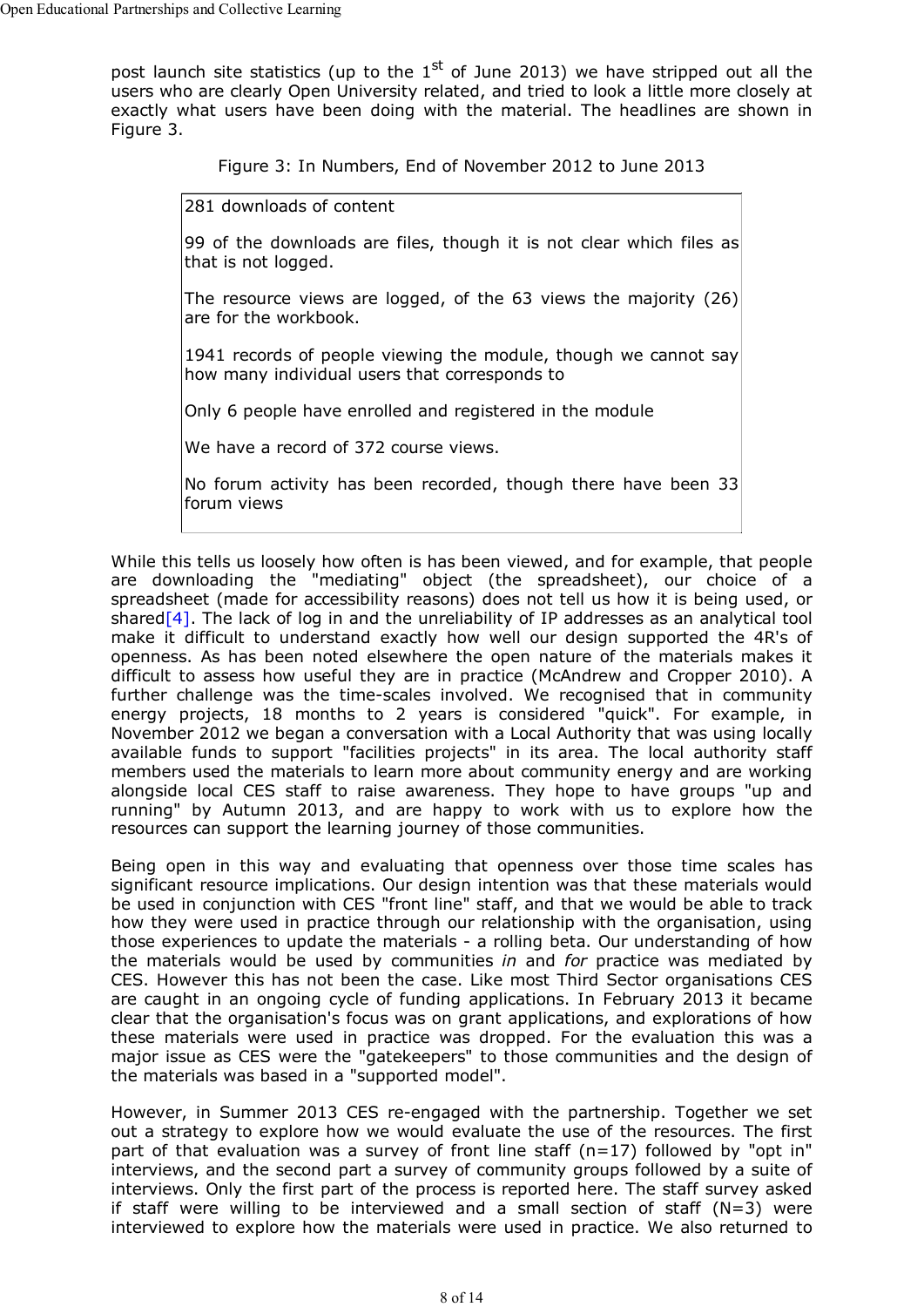post launch site statistics (up to the  $1<sup>st</sup>$  of June 2013) we have stripped out all the users who are clearly Open University related, and tried to look a little more closely at exactly what users have been doing with the material. The headlines are shown in Figure 3.

Figure 3: In Numbers, End of November 2012 to June 2013

281 downloads of content

99 of the downloads are files, though it is not clear which files as that is not logged.

The resource views are logged, of the 63 views the majority (26) are for the workbook.

1941 records of people viewing the module, though we cannot say how many individual users that corresponds to

Only 6 people have enrolled and registered in the module

We have a record of 372 course views.

No forum activity has been recorded, though there have been 33 forum views

While this tells us loosely how often is has been viewed, and for example, that people are downloading the "mediating" object (the spreadsheet), our choice of a spreadsheet (made for accessibility reasons) does not tell us how it is being used, or shared $[4]$ . The lack of log in and the unreliability of IP addresses as an analytical tool make it difficult to understand exactly how well our design supported the 4R's of openness. As has been noted elsewhere the open nature of the materials makes it difficult to assess how useful they are in practice (McAndrew and Cropper 2010). A further challenge was the time-scales involved. We recognised that in community energy projects, 18 months to 2 years is considered "quick". For example, in November 2012 we began a conversation with a Local Authority that was using locally available funds to support "facilities projects" in its area. The local authority staff members used the materials to learn more about community energy and are working alongside local CES staff to raise awareness. They hope to have groups "up and running" by Autumn 2013, and are happy to work with us to explore how the resources can support the learning journey of those communities.

Being open in this way and evaluating that openness over those time scales has significant resource implications. Our design intention was that these materials would be used in conjunction with CES "front line" staff, and that we would be able to track how they were used in practice through our relationship with the organisation, using those experiences to update the materials - a rolling beta. Our understanding of how the materials would be used by communities *in* and *for* practice was mediated by CES. However this has not been the case. Like most Third Sector organisations CES are caught in an ongoing cycle of funding applications. In February 2013 it became clear that the organisation's focus was on grant applications, and explorations of how these materials were used in practice was dropped. For the evaluation this was a major issue as CES were the "gatekeepers" to those communities and the design of the materials was based in a "supported model".

However, in Summer 2013 CES re-engaged with the partnership. Together we set out a strategy to explore how we would evaluate the use of the resources. The first part of that evaluation was a survey of front line staff ( $n=17$ ) followed by "opt in" interviews, and the second part a survey of community groups followed by a suite of interviews. Only the first part of the process is reported here. The staff survey asked if staff were willing to be interviewed and a small section of staff  $(N=3)$  were interviewed to explore how the materials were used in practice. We also returned to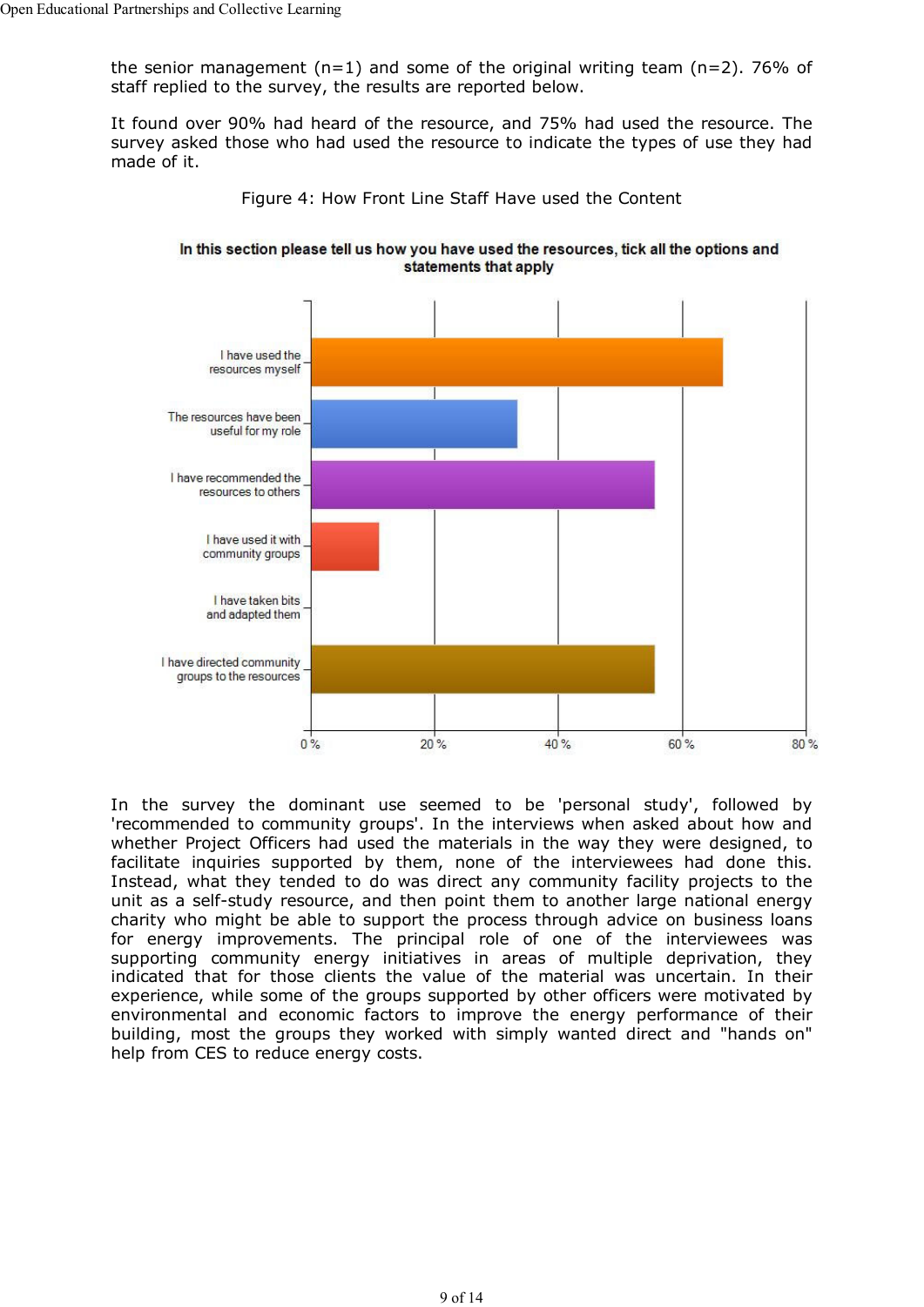the senior management  $(n=1)$  and some of the original writing team  $(n=2)$ . 76% of staff replied to the survey, the results are reported below.

It found over 90% had heard of the resource, and 75% had used the resource. The survey asked those who had used the resource to indicate the types of use they had made of it.



Figure 4: How Front Line Staff Have used the Content

In this section please tell us how you have used the resources, tick all the options and statements that apply

In the survey the dominant use seemed to be 'personal study', followed by 'recommended to community groups'. In the interviews when asked about how and whether Project Officers had used the materials in the way they were designed, to facilitate inquiries supported by them, none of the interviewees had done this. Instead, what they tended to do was direct any community facility projects to the unit as a self-study resource, and then point them to another large national energy charity who might be able to support the process through advice on business loans for energy improvements. The principal role of one of the interviewees was supporting community energy initiatives in areas of multiple deprivation, they indicated that for those clients the value of the material was uncertain. In their experience, while some of the groups supported by other officers were motivated by environmental and economic factors to improve the energy performance of their building, most the groups they worked with simply wanted direct and "hands on" help from CES to reduce energy costs.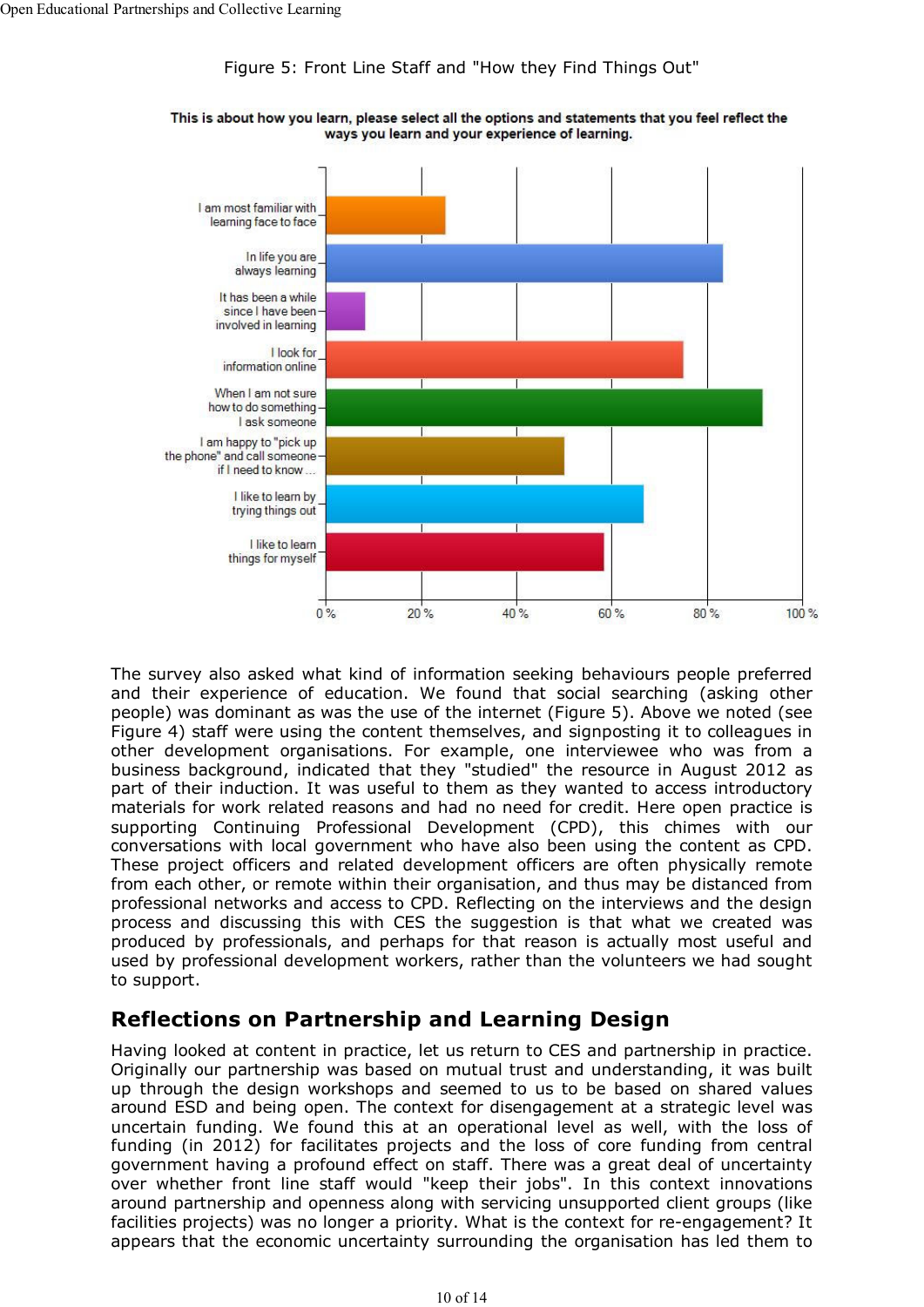### Figure 5: Front Line Staff and "How they Find Things Out"



This is about how you learn, please select all the options and statements that you feel reflect the ways you learn and your experience of learning.

The survey also asked what kind of information seeking behaviours people preferred and their experience of education. We found that social searching (asking other people) was dominant as was the use of the internet (Figure 5). Above we noted (see Figure 4) staff were using the content themselves, and signposting it to colleagues in other development organisations. For example, one interviewee who was from a business background, indicated that they "studied" the resource in August 2012 as part of their induction. It was useful to them as they wanted to access introductory materials for work related reasons and had no need for credit. Here open practice is supporting Continuing Professional Development (CPD), this chimes with our conversations with local government who have also been using the content as CPD. These project officers and related development officers are often physically remote from each other, or remote within their organisation, and thus may be distanced from professional networks and access to CPD. Reflecting on the interviews and the design process and discussing this with CES the suggestion is that what we created was produced by professionals, and perhaps for that reason is actually most useful and used by professional development workers, rather than the volunteers we had sought to support.

## **Reflections on Partnership and Learning Design**

Having looked at content in practice, let us return to CES and partnership in practice. Originally our partnership was based on mutual trust and understanding, it was built up through the design workshops and seemed to us to be based on shared values around ESD and being open. The context for disengagement at a strategic level was uncertain funding. We found this at an operational level as well, with the loss of funding (in 2012) for facilitates projects and the loss of core funding from central government having a profound effect on staff. There was a great deal of uncertainty over whether front line staff would "keep their jobs". In this context innovations around partnership and openness along with servicing unsupported client groups (like facilities projects) was no longer a priority. What is the context for re-engagement? It appears that the economic uncertainty surrounding the organisation has led them to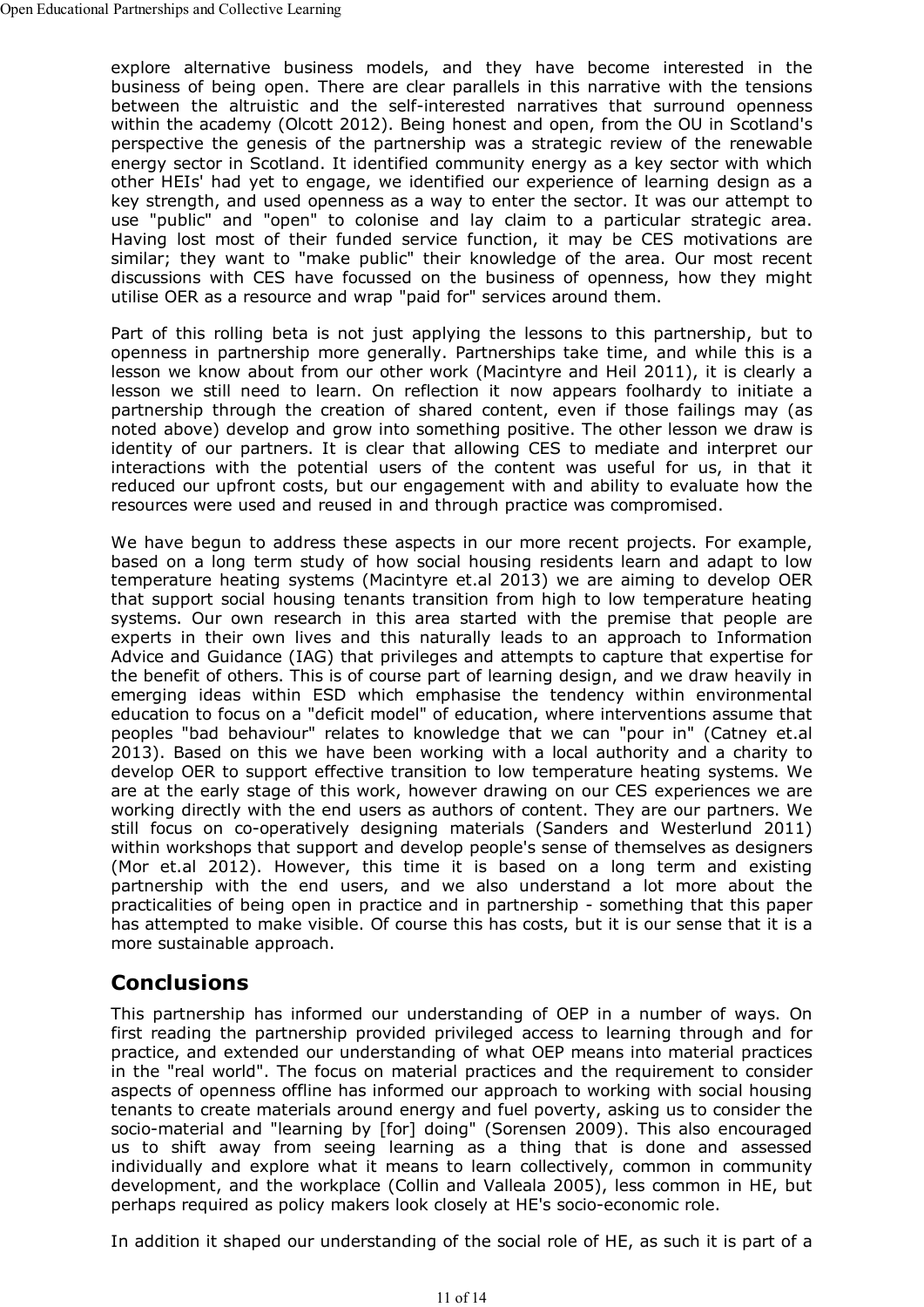explore alternative business models, and they have become interested in the business of being open. There are clear parallels in this narrative with the tensions between the altruistic and the self-interested narratives that surround openness within the academy (Olcott 2012). Being honest and open, from the OU in Scotland's perspective the genesis of the partnership was a strategic review of the renewable energy sector in Scotland. It identified community energy as a key sector with which other HEIs' had yet to engage, we identified our experience of learning design as a key strength, and used openness as a way to enter the sector. It was our attempt to use "public" and "open" to colonise and lay claim to a particular strategic area. Having lost most of their funded service function, it may be CES motivations are similar; they want to "make public" their knowledge of the area. Our most recent discussions with CES have focussed on the business of openness, how they might utilise OER as a resource and wrap "paid for" services around them.

Part of this rolling beta is not just applying the lessons to this partnership, but to openness in partnership more generally. Partnerships take time, and while this is a lesson we know about from our other work (Macintyre and Heil 2011), it is clearly a lesson we still need to learn. On reflection it now appears foolhardy to initiate a partnership through the creation of shared content, even if those failings may (as noted above) develop and grow into something positive. The other lesson we draw is identity of our partners. It is clear that allowing CES to mediate and interpret our interactions with the potential users of the content was useful for us, in that it reduced our upfront costs, but our engagement with and ability to evaluate how the resources were used and reused in and through practice was compromised.

We have begun to address these aspects in our more recent projects. For example, based on a long term study of how social housing residents learn and adapt to low temperature heating systems (Macintyre et.al 2013) we are aiming to develop OER that support social housing tenants transition from high to low temperature heating systems. Our own research in this area started with the premise that people are experts in their own lives and this naturally leads to an approach to Information Advice and Guidance (IAG) that privileges and attempts to capture that expertise for the benefit of others. This is of course part of learning design, and we draw heavily in emerging ideas within ESD which emphasise the tendency within environmental education to focus on a "deficit model" of education, where interventions assume that peoples "bad behaviour" relates to knowledge that we can "pour in" (Catney et.al 2013). Based on this we have been working with a local authority and a charity to develop OER to support effective transition to low temperature heating systems. We are at the early stage of this work, however drawing on our CES experiences we are working directly with the end users as authors of content. They are our partners. We still focus on co-operatively designing materials (Sanders and Westerlund 2011) within workshops that support and develop people's sense of themselves as designers (Mor et.al 2012). However, this time it is based on a long term and existing partnership with the end users, and we also understand a lot more about the practicalities of being open in practice and in partnership - something that this paper has attempted to make visible. Of course this has costs, but it is our sense that it is a more sustainable approach.

## **Conclusions**

This partnership has informed our understanding of OEP in a number of ways. On first reading the partnership provided privileged access to learning through and for practice, and extended our understanding of what OEP means into material practices in the "real world". The focus on material practices and the requirement to consider aspects of openness offline has informed our approach to working with social housing tenants to create materials around energy and fuel poverty, asking us to consider the socio-material and "learning by [for] doing" (Sorensen 2009). This also encouraged us to shift away from seeing learning as a thing that is done and assessed individually and explore what it means to learn collectively, common in community development, and the workplace (Collin and Valleala 2005), less common in HE, but perhaps required as policy makers look closely at HE's socio-economic role.

In addition it shaped our understanding of the social role of HE, as such it is part of a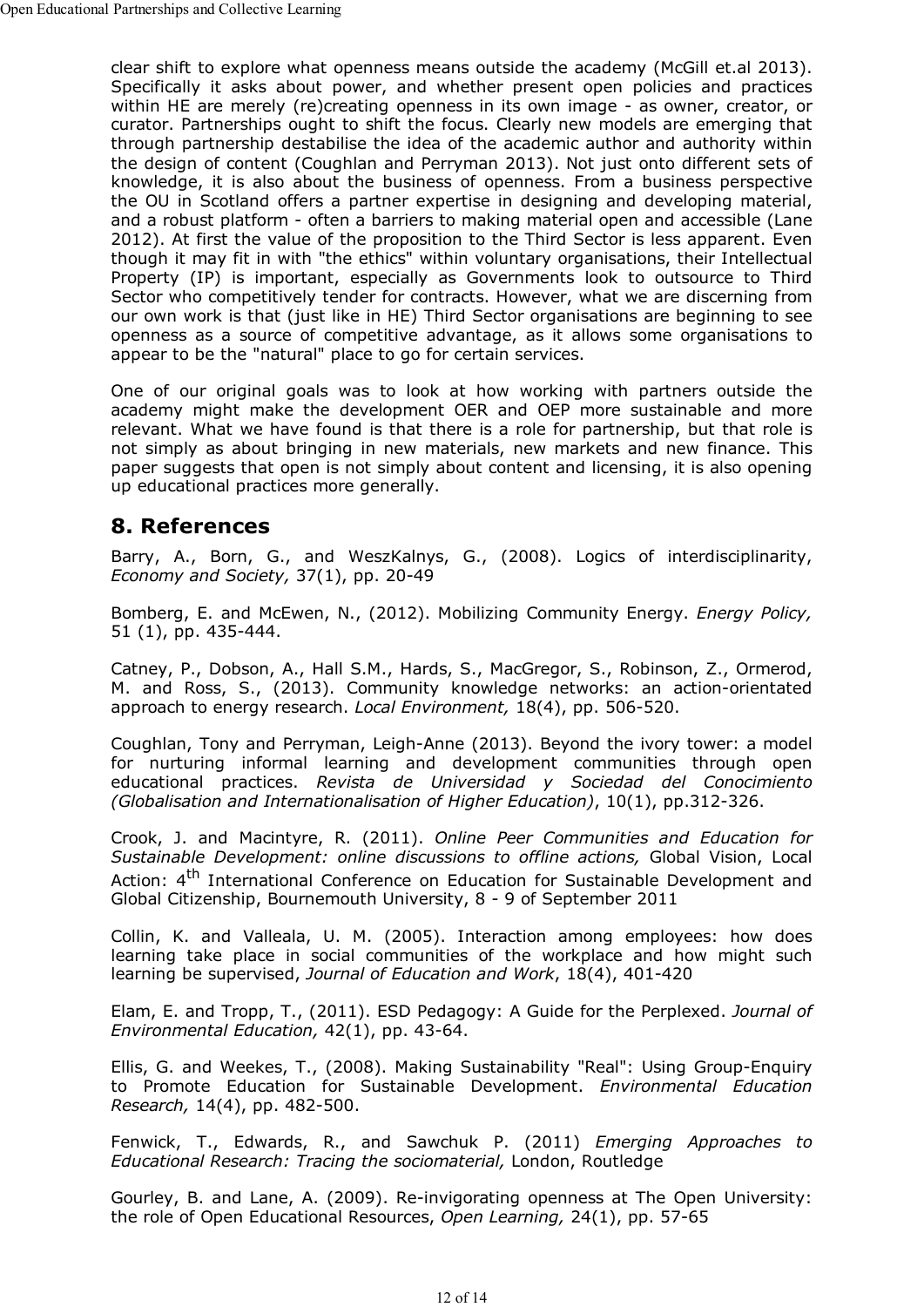clear shift to explore what openness means outside the academy (McGill et.al 2013). Specifically it asks about power, and whether present open policies and practices within HE are merely (re)creating openness in its own image - as owner, creator, or curator. Partnerships ought to shift the focus. Clearly new models are emerging that through partnership destabilise the idea of the academic author and authority within the design of content (Coughlan and Perryman 2013). Not just onto different sets of knowledge, it is also about the business of openness. From a business perspective the OU in Scotland offers a partner expertise in designing and developing material, and a robust platform - often a barriers to making material open and accessible (Lane 2012). At first the value of the proposition to the Third Sector is less apparent. Even though it may fit in with "the ethics" within voluntary organisations, their Intellectual Property (IP) is important, especially as Governments look to outsource to Third Sector who competitively tender for contracts. However, what we are discerning from our own work is that (just like in HE) Third Sector organisations are beginning to see openness as a source of competitive advantage, as it allows some organisations to appear to be the "natural" place to go for certain services.

One of our original goals was to look at how working with partners outside the academy might make the development OER and OEP more sustainable and more relevant. What we have found is that there is a role for partnership, but that role is not simply as about bringing in new materials, new markets and new finance. This paper suggests that open is not simply about content and licensing, it is also opening up educational practices more generally.

### **8. References**

Barry, A., Born, G., and WeszKalnys, G., (2008). Logics of interdisciplinarity, *Economy and Society,* 37(1), pp. 20-49

Bomberg, E. and McEwen, N., (2012). Mobilizing Community Energy. *Energy Policy,* 51 (1), pp. 435-444.

Catney, P., Dobson, A., Hall S.M., Hards, S., MacGregor, S., Robinson, Z., Ormerod, M. and Ross, S., (2013). Community knowledge networks: an action-orientated approach to energy research. *Local Environment,* 18(4), pp. 506-520.

Coughlan, Tony and Perryman, Leigh-Anne (2013). Beyond the ivory tower: a model for nurturing informal learning and development communities through open educational practices. *Revista de Universidad y Sociedad del Conocimiento (Globalisation and Internationalisation of Higher Education)*, 10(1), pp.312-326.

Crook, J. and Macintyre, R. (2011). *Online Peer Communities and Education for Sustainable Development: online discussions to offline actions,* Global Vision, Local Action: 4<sup>th</sup> International Conference on Education for Sustainable Development and Global Citizenship, Bournemouth University, 8 - 9 of September 2011

Collin, K. and Valleala, U. M. (2005). Interaction among employees: how does learning take place in social communities of the workplace and how might such learning be supervised, *Journal of Education and Work*, 18(4), 401-420

Elam, E. and Tropp, T., (2011). ESD Pedagogy: A Guide for the Perplexed. *Journal of Environmental Education,* 42(1), pp. 43-64.

Ellis, G. and Weekes, T., (2008). Making Sustainability "Real": Using Group-Enquiry to Promote Education for Sustainable Development. *Environmental Education Research,* 14(4), pp. 482-500.

Fenwick, T., Edwards, R., and Sawchuk P. (2011) *Emerging Approaches to Educational Research: Tracing the sociomaterial,* London, Routledge

Gourley, B. and Lane, A. (2009). Re-invigorating openness at The Open University: the role of Open Educational Resources, *Open Learning,* 24(1), pp. 57-65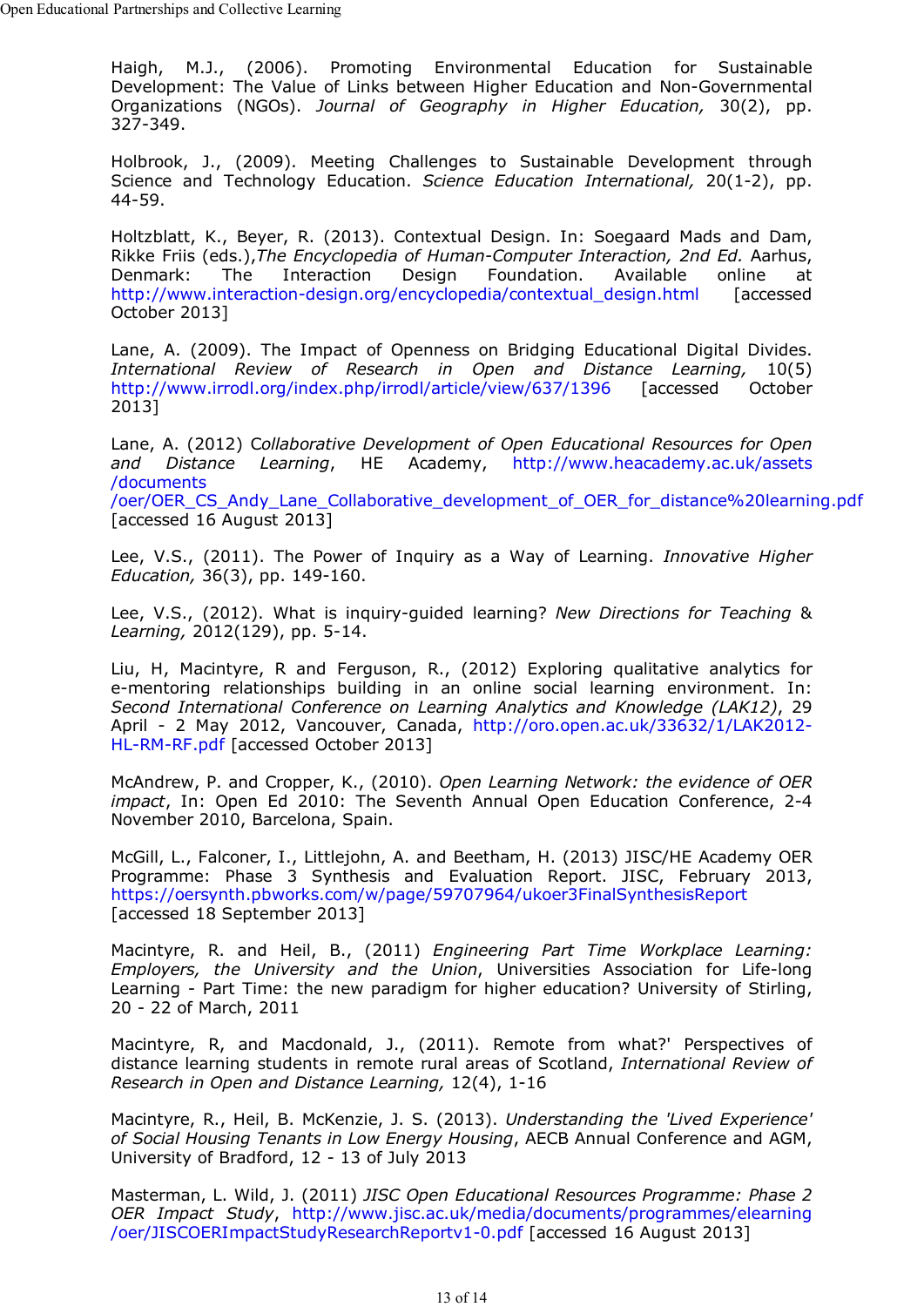Haigh, M.J., (2006). Promoting Environmental Education for Sustainable Development: The Value of Links between Higher Education and Non-Governmental Organizations (NGOs). *Journal of Geography in Higher Education,* 30(2), pp. 327-349.

Holbrook, J., (2009). Meeting Challenges to Sustainable Development through Science and Technology Education. *Science Education International,* 20(1-2), pp. 44-59.

Holtzblatt, K., Beyer, R. (2013). Contextual Design. In: Soegaard Mads and Dam, Rikke Friis (eds.),*The Encyclopedia of Human-Computer Interaction, 2nd Ed.* Aarhus, Denmark: The Interaction Design Foundation. Available online at http://www.interaction-design.org/encyclopedia/contextual\_design.html [accessed October 2013]

Lane, A. (2009). The Impact of Openness on Bridging Educational Digital Divides. *International Review of Research in Open and Distance Learning,* 10(5) http://www.irrodl.org/index.php/irrodl/article/view/637/1396 [accessed October 2013]

Lane, A. (2012) C*ollaborative Development of Open Educational Resources for Open and Distance Learning*, HE Academy, http://www.heacademy.ac.uk/assets /documents /oer/OER\_CS\_Andy\_Lane\_Collaborative\_development\_of\_OER\_for\_distance%20learning.pdf [accessed 16 August 2013]

Lee, V.S., (2011). The Power of Inquiry as a Way of Learning. *Innovative Higher Education,* 36(3), pp. 149-160.

Lee, V.S., (2012). What is inquiry-guided learning? *New Directions for Teaching* & *Learning,* 2012(129), pp. 5-14.

Liu, H, Macintyre, R and Ferguson, R., (2012) Exploring qualitative analytics for e-mentoring relationships building in an online social learning environment. In: *Second International Conference on Learning Analytics and Knowledge (LAK12)*, 29 April - 2 May 2012, Vancouver, Canada, http://oro.open.ac.uk/33632/1/LAK2012- HL-RM-RF.pdf [accessed October 2013]

McAndrew, P. and Cropper, K., (2010). *Open Learning Network: the evidence of OER impact*, In: Open Ed 2010: The Seventh Annual Open Education Conference, 2-4 November 2010, Barcelona, Spain.

McGill, L., Falconer, I., Littlejohn, A. and Beetham, H. (2013) JISC/HE Academy OER Programme: Phase 3 Synthesis and Evaluation Report. JISC, February 2013, https://oersynth.pbworks.com/w/page/59707964/ukoer3FinalSynthesisReport [accessed 18 September 2013]

Macintyre, R. and Heil, B., (2011) *Engineering Part Time Workplace Learning: Employers, the University and the Union*, Universities Association for Life-long Learning - Part Time: the new paradigm for higher education? University of Stirling, 20 - 22 of March, 2011

Macintyre, R, and Macdonald, J., (2011). Remote from what?' Perspectives of distance learning students in remote rural areas of Scotland, *International Review of Research in Open and Distance Learning,* 12(4), 1-16

Macintyre, R., Heil, B. McKenzie, J. S. (2013). *Understanding the 'Lived Experience' of Social Housing Tenants in Low Energy Housing*, AECB Annual Conference and AGM, University of Bradford, 12 - 13 of July 2013

Masterman, L. Wild, J. (2011) *JISC Open Educational Resources Programme: Phase 2 OER Impact Study*, http://www.jisc.ac.uk/media/documents/programmes/elearning /oer/JISCOERImpactStudyResearchReportv1-0.pdf [accessed 16 August 2013]